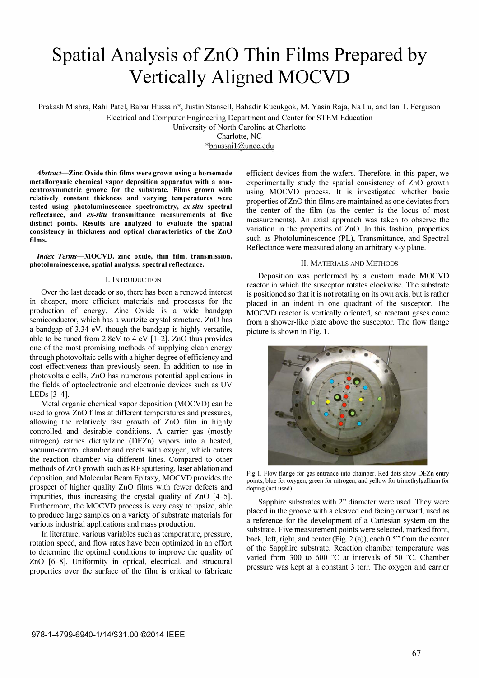# Spatial Analysis of ZnO Thin Films Prepared by Vertically Aligned MOCVD

Prakash Mishra, Rahi Patel, Babar Hussain\*, Justin Stansell, Bahadir Kucukgok, M. Yasin Raja, Na Lu, and Ian T. Ferguson

Electrical and Computer Engineering Department and Center for STEM Education

University of North Caroline at Charlotte

Charlotte, NC

\*bhussail@uncc.edu

Abstract-Zinc Oxide thin films were grown using a homemade metallorganic chemical vapor deposition apparatus with a noncentrosymmetric groove for the substrate. Films grown with relatively constant thickness and varying temperatures were tested using photoluminescence spectrometry, ex-situ spectral reflectance, and ex-situ transmittance measurements at five distinct points. Results are analyzed to evaluate the spatial consistency in thickness and optical characteristics of the ZnO films.

Index Terms-MOCVD, zinc oxide, thin film, transmission, photoluminescence, spatial analysis, spectral reflectance.

#### I. INTRODUCTION

Over the last decade or so, there has been a renewed interest in cheaper, more efficient materials and processes for the production of energy. Zinc Oxide is a wide bandgap semiconductor, which has a wurtzite crystal structure. ZnO has a bandgap of 3.34 eV, though the bandgap is highly versatile, able to be tuned from 2.8eV to 4 eV [1-2]. ZnO thus provides one of the most promising methods of supplying clean energy through photovoltaic cells with a higher degree of efficiency and cost effectiveness than previously seen. In addition to use in photo voltaic cells, ZnO has numerous potential applications in the fields of optoelectronic and electronic devices such as UV LED<sub>s</sub> [3-4].

Metal organic chemical vapor deposition (MOCVD) can be used to grow ZnO films at different temperatures and pressures, allowing the relatively fast growth of ZnO film in highly controlled and desirable conditions. A carrier gas (mostly nitrogen) carries diethylzinc (OEZn) vapors into a heated, vacuum-control chamber and reacts with oxygen, which enters the reaction chamber via different lines. Compared to other methods of ZnO growth such as RF sputtering, laser ablation and deposition, and Molecular Beam Epitaxy, MOCVO provides the prospect of higher quality ZnO films with fewer defects and impurities, thus increasing the crystal quality of ZnO [4-5]. Furthermore, the MOCVO process is very easy to upsize, able to produce large samples on a variety of substrate materials for various industrial applications and mass production.

In literature, various variables such as temperature, pressure, rotation speed, and flow rates have been optimized in an effort to determine the optimal conditions to improve the quality of ZnO [6-8]. Uniformity in optical, electrical, and structural properties over the surface of the film is critical to fabricate efficient devices from the wafers. Therefore, in this paper, we experimentally study the spatial consistency of ZnO growth using MOCVD process. It is investigated whether basic properties of ZnO thin films are maintained as one deviates from the center of the film (as the center is the locus of most measurements). An axial approach was taken to observe the variation in the properties of ZnO. In this fashion, properties such as Photoluminescence (PL), Transmittance, and Spectral Reflectance were measured along an arbitrary x-y plane.

# II. MATERIALS AND METHODS

Deposition was performed by a custom made MOCVD reactor in which the susceptor rotates clockwise. The substrate is positioned so that it is not rotating on its own axis, but is rather placed in an indent in one quadrant of the susceptor. The MOCVO reactor is vertically oriented, so reactant gases come from a shower-like plate above the susceptor. The flow flange picture is shown in Fig. I.



Fig 1. Flow flange for gas entrance into chamber. Red dots show DEZn entry points, blue for oxygen, green for nitrogen, and yellow for trimethylgallium for doping (not used).

Sapphire substrates with 2" diameter were used. They were placed in the groove with a cleaved end facing outward, used as a reference for the development of a Cartesian system on the substrate. Five measurement points were selected, marked front, back, left, right, and center (Fig. 2 (a)), each 0.5" from the center of the Sapphire substrate. Reaction chamber temperature was varied from 300 to 600 °C at intervals of 50 °C. Chamber pressure was kept at a constant 3 torr. The oxygen and carrier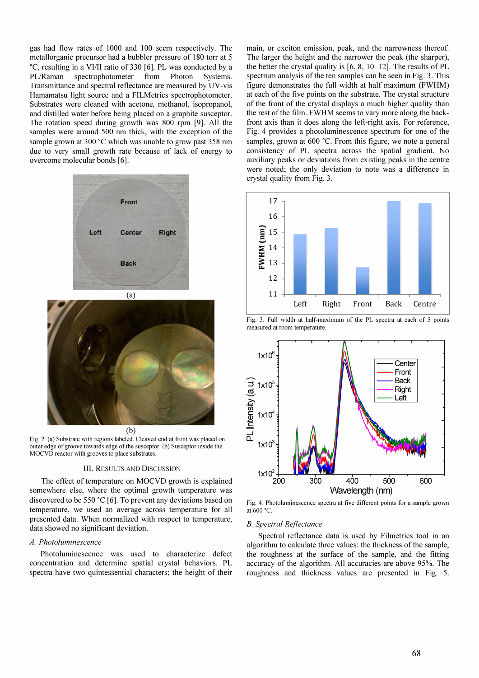gas had flow rates of 1000 and 100 sccm respectively. The metallorganic precursor had a bubbler pressure of 180 torr at 5 °C, resulting in a VIllI ratio of 330 [6]. PL was conducted by a PL/Raman spectrophotometer from Photon Systems. Transmittance and spectral reflectance are measured by UV -vis Hamamatsu light source and a FILMetrics spectrophotometer. Substrates were cleaned with acetone, methanol, isopropanol, and distilled water before being placed on a graphite susceptor. The rotation speed during growth was 800 rpm [9]. All the samples were around 500 nm thick, with the exception of the sample grown at 300 °C which was unable to grow past 358 nm due to very small growth rate because of lack of energy to overcome molecular bonds [6].



(b)

Fig. 2. (a) Substrate with regions labeled. Cleaved end at front was placed on outer edge of groove towards edge of the susceptor. (b) Susceptor inside the MOCVD reactor with grooves to place substrates.

#### III. RESULTS AND DISCUSSION

The effect of temperature on MOCVD growth is explained somewhere else, where the optimal growth temperature was discovered to be 550°C [6]. To prevent any deviations based on temperature, we used an average across temperature for all presented data. When normalized with respect to temperature, data showed no significant deviation.

### A. Photoluminescence

Photoluminescence was used to characterize defect concentration and determine spatial crystal behaviors. PL spectra have two quintessential characters; the height of their main, or exciton emission, peak, and the narrowness thereof. The larger the height and the narrower the peak (the sharper), the better the crystal quality is  $[6, 8, 10-12]$ . The results of PL spectrum analysis of the ten samples can be seen in Fig. 3. This figure demonstrates the full width at half maximum (FWHM) at each of the five points on the substrate. The crystal structure of the front of the crystal displays a much higher quality than the rest of the film. FWHM seems to vary more along the backfront axis than it does along the left-right axis. For reference, Fig. 4 provides a photoluminescence spectrum for one of the samples, grown at 600°C. From this figure, we note a general consistency of PL spectra across the spatial gradient. No auxiliary peaks or deviations from existing peaks in the centre were noted; the only deviation to note was a difference in crystal quality from Fig. 3.







Fig. 4. Photoluminescence spectra at five different points for a sample grown at 600°C.

# B. Spectral Reflectance

Spectral reflectance data is used by Filmetrics tool in an algorithm to calculate three values: the thickness of the sample, the rouglmess at the surface of the sample, and the fitting accuracy of the algorithm. All accuracies are above 95%. The roughness and thickness values are presented in Fig. 5.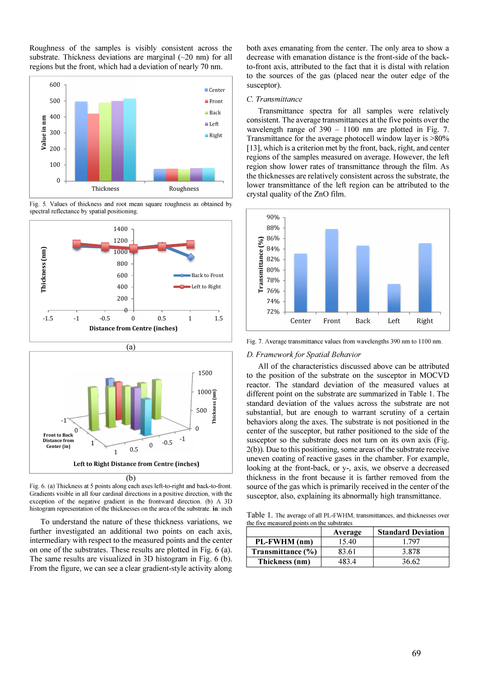Roughness of the samples is visibly consistent across the substrate. Thickness deviations are marginal  $(\sim 20 \text{ nm})$  for all regions but the front, which had a deviation of nearly 70 nm.



Fig. 5. Values of thickness and root mean square roughness as obtained by spectral reflectance by spatial positioning.



(b)

Fig. 6. (a) Thickness at 5 points along each axes left-to-right and back-to-front. Gradients visible in all four cardinal directions in a positive direction, with the exception of the negative gradient in the frontward direction. (b) A 3D histogram representation of the thicknesses on the area of the substrate. in: inch

To understand the nature of these thickness variations, we further investigated an additional two points on each axis, intermediary with respect to the measured points and the center on one of the substrates. These results are plotted in Fig. 6 (a). The same results are visualized in 3D histogram in Fig. 6 (b). From the figure, we can see a clear gradient-style activity along both axes emanating from the center. The only area to show a decrease with emanation distance is the front-side of the backto-front axis, attributed to the fact that it is distal with relation to the sources of the gas (placed near the outer edge of the susceptor).

# C. Transmittance

Transmittance spectra for all samples were relatively consistent. The average transmittances at the five points over the wavelength range of  $390 - 1100$  nm are plotted in Fig. 7. Transmittance for the average photocell window layer is >80% [13], which is a criterion met by the front, back, right, and center regions of the samples measured on average. However, the left region show lower rates of transmittance through the fihn. As the thicknesses are relatively consistent across the substrate, the lower transmittance of the left region can be attributed to the crystal quality of the ZnO film.



Fig. 7. Average transmittance values from wavelengths 390 nm to 1100 nm.

# D. Framework for Spatial Behavior

All of the characteristics discussed above can be attributed to the position of the substrate on the susceptor in MOCVD reactor. The standard deviation of the measured values at different point on the substrate are summarized in Table 1. The standard deviation of the values across the substrate are not substantial, but are enough to warrant scrutiny of a certain behaviors along the axes. The substrate is not positioned in the center of the susceptor, but rather positioned to the side of the susceptor so the substrate does not turn on its own axis (Fig.  $2(b)$ ). Due to this positioning, some areas of the substrate receive uneven coating of reactive gases in the chamber. For example, looking at the front-back, or y-, axis, we observe a decreased thickness in the front because it is farther removed from the source of the gas which is primarily received in the center of the susceptor, also, explaining its abnormally high transmittance.

Table I. The average of all PL-FWHM, transmittances, and thicknesses over the five measured points on the substrates

|                   | Average | <b>Standard Deviation</b> |
|-------------------|---------|---------------------------|
| PL-FWHM (nm)      | 15.40   | 1.797                     |
| Transmittance (%) | 83.61   | 3.878                     |
| Thickness (nm)    | 483 4   | 36.62                     |